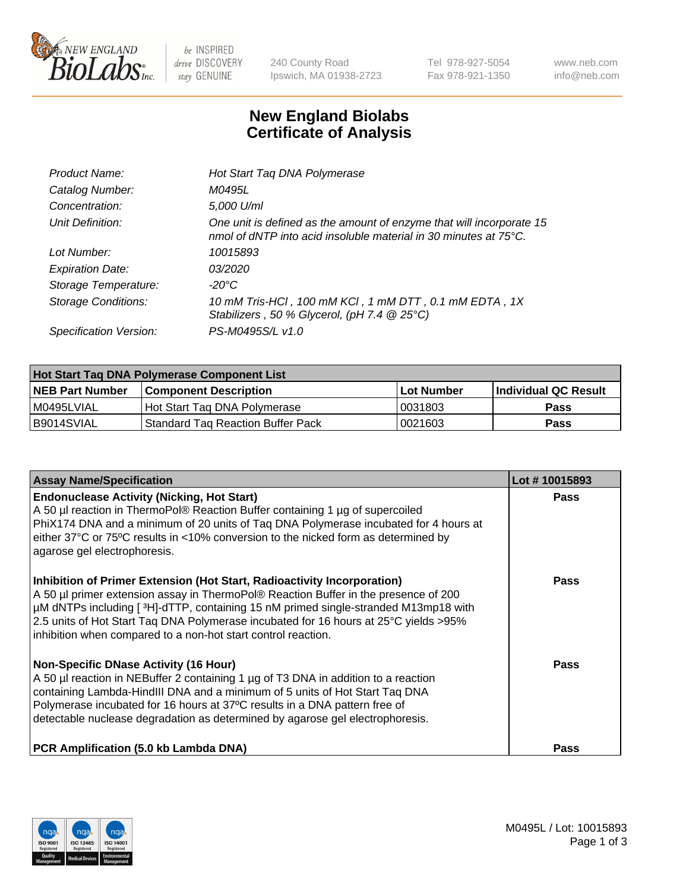

 $be$  INSPIRED drive DISCOVERY stay GENUINE

240 County Road Ipswich, MA 01938-2723 Tel 978-927-5054 Fax 978-921-1350 www.neb.com info@neb.com

## **New England Biolabs Certificate of Analysis**

| Product Name:              | Hot Start Taq DNA Polymerase                                                                                                                       |
|----------------------------|----------------------------------------------------------------------------------------------------------------------------------------------------|
| Catalog Number:            | M0495L                                                                                                                                             |
| Concentration:             | 5,000 U/ml                                                                                                                                         |
| Unit Definition:           | One unit is defined as the amount of enzyme that will incorporate 15<br>nmol of dNTP into acid insoluble material in 30 minutes at $75^{\circ}$ C. |
| Lot Number:                | 10015893                                                                                                                                           |
| <b>Expiration Date:</b>    | 03/2020                                                                                                                                            |
| Storage Temperature:       | -20°C                                                                                                                                              |
| <b>Storage Conditions:</b> | 10 mM Tris-HCl, 100 mM KCl, 1 mM DTT, 0.1 mM EDTA, 1X<br>Stabilizers, 50 % Glycerol, (pH 7.4 @ 25°C)                                               |
| Specification Version:     | PS-M0495S/L v1.0                                                                                                                                   |

| Hot Start Taq DNA Polymerase Component List |                                     |            |                             |  |  |
|---------------------------------------------|-------------------------------------|------------|-----------------------------|--|--|
| <b>NEB Part Number</b>                      | <b>Component Description</b>        | Lot Number | <b>Individual QC Result</b> |  |  |
| M0495LVIAL                                  | Hot Start Tag DNA Polymerase        | 0031803    | <b>Pass</b>                 |  |  |
| I B9014SVIAL                                | l Standard Tag Reaction Buffer Pack | 0021603    | Pass                        |  |  |

| <b>Assay Name/Specification</b>                                                                                                                                                                                                                                                                                                                                                                               | Lot #10015893 |
|---------------------------------------------------------------------------------------------------------------------------------------------------------------------------------------------------------------------------------------------------------------------------------------------------------------------------------------------------------------------------------------------------------------|---------------|
| <b>Endonuclease Activity (Nicking, Hot Start)</b><br>A 50 µl reaction in ThermoPol® Reaction Buffer containing 1 µg of supercoiled<br>PhiX174 DNA and a minimum of 20 units of Taq DNA Polymerase incubated for 4 hours at<br>either 37°C or 75°C results in <10% conversion to the nicked form as determined by<br>agarose gel electrophoresis.                                                              | Pass          |
| Inhibition of Primer Extension (Hot Start, Radioactivity Incorporation)<br>A 50 µl primer extension assay in ThermoPol® Reaction Buffer in the presence of 200<br>µM dNTPs including [3H]-dTTP, containing 15 nM primed single-stranded M13mp18 with<br>2.5 units of Hot Start Taq DNA Polymerase incubated for 16 hours at 25°C yields >95%<br>inhibition when compared to a non-hot start control reaction. | Pass          |
| <b>Non-Specific DNase Activity (16 Hour)</b><br>A 50 µl reaction in NEBuffer 2 containing 1 µg of T3 DNA in addition to a reaction<br>containing Lambda-HindIII DNA and a minimum of 5 units of Hot Start Taq DNA<br>Polymerase incubated for 16 hours at 37°C results in a DNA pattern free of<br>detectable nuclease degradation as determined by agarose gel electrophoresis.                              | Pass          |
| PCR Amplification (5.0 kb Lambda DNA)                                                                                                                                                                                                                                                                                                                                                                         | Pass          |

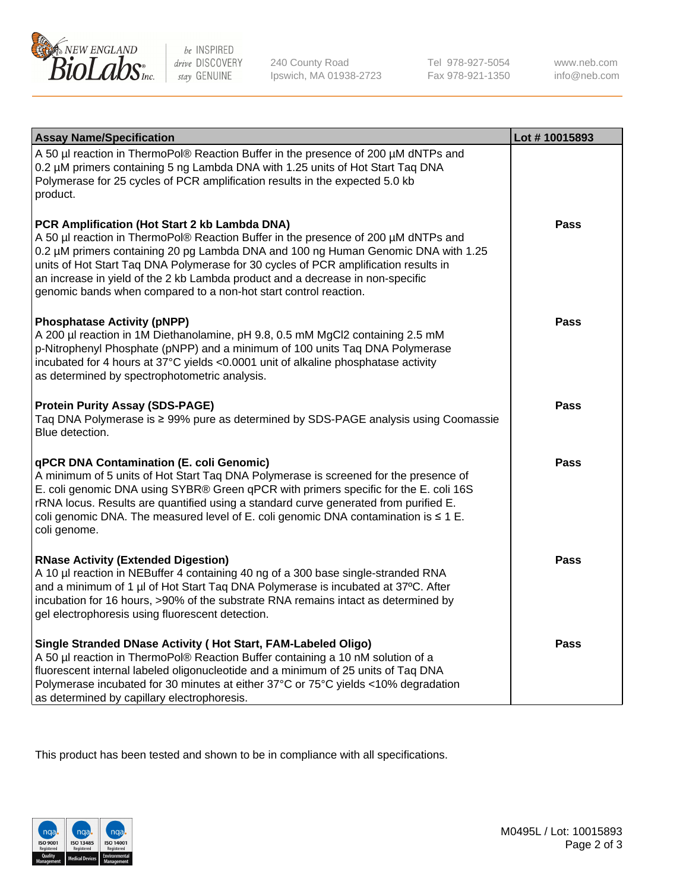

be INSPIRED drive DISCOVERY stay GENUINE

240 County Road Ipswich, MA 01938-2723 Tel 978-927-5054 Fax 978-921-1350 www.neb.com info@neb.com

| <b>Assay Name/Specification</b>                                                                                                                                                                                                                                                                                                                                                                                                                                       | Lot #10015893 |
|-----------------------------------------------------------------------------------------------------------------------------------------------------------------------------------------------------------------------------------------------------------------------------------------------------------------------------------------------------------------------------------------------------------------------------------------------------------------------|---------------|
| A 50 µl reaction in ThermoPol® Reaction Buffer in the presence of 200 µM dNTPs and<br>0.2 µM primers containing 5 ng Lambda DNA with 1.25 units of Hot Start Taq DNA<br>Polymerase for 25 cycles of PCR amplification results in the expected 5.0 kb<br>product.                                                                                                                                                                                                      |               |
| PCR Amplification (Hot Start 2 kb Lambda DNA)<br>A 50 µl reaction in ThermoPol® Reaction Buffer in the presence of 200 µM dNTPs and<br>0.2 µM primers containing 20 pg Lambda DNA and 100 ng Human Genomic DNA with 1.25<br>units of Hot Start Taq DNA Polymerase for 30 cycles of PCR amplification results in<br>an increase in yield of the 2 kb Lambda product and a decrease in non-specific<br>genomic bands when compared to a non-hot start control reaction. | Pass          |
| <b>Phosphatase Activity (pNPP)</b><br>A 200 µl reaction in 1M Diethanolamine, pH 9.8, 0.5 mM MgCl2 containing 2.5 mM<br>p-Nitrophenyl Phosphate (pNPP) and a minimum of 100 units Taq DNA Polymerase<br>incubated for 4 hours at 37°C yields <0.0001 unit of alkaline phosphatase activity<br>as determined by spectrophotometric analysis.                                                                                                                           | <b>Pass</b>   |
| <b>Protein Purity Assay (SDS-PAGE)</b><br>Taq DNA Polymerase is ≥ 99% pure as determined by SDS-PAGE analysis using Coomassie<br>Blue detection.                                                                                                                                                                                                                                                                                                                      | <b>Pass</b>   |
| <b>qPCR DNA Contamination (E. coli Genomic)</b><br>A minimum of 5 units of Hot Start Taq DNA Polymerase is screened for the presence of<br>E. coli genomic DNA using SYBR® Green qPCR with primers specific for the E. coli 16S<br>rRNA locus. Results are quantified using a standard curve generated from purified E.<br>coli genomic DNA. The measured level of E. coli genomic DNA contamination is $\leq 1$ E.<br>coli genome.                                   | Pass          |
| <b>RNase Activity (Extended Digestion)</b><br>A 10 µl reaction in NEBuffer 4 containing 40 ng of a 300 base single-stranded RNA<br>and a minimum of 1 µl of Hot Start Taq DNA Polymerase is incubated at 37°C. After<br>incubation for 16 hours, >90% of the substrate RNA remains intact as determined by<br>gel electrophoresis using fluorescent detection.                                                                                                        | <b>Pass</b>   |
| Single Stranded DNase Activity (Hot Start, FAM-Labeled Oligo)<br>A 50 µl reaction in ThermoPol® Reaction Buffer containing a 10 nM solution of a<br>fluorescent internal labeled oligonucleotide and a minimum of 25 units of Taq DNA<br>Polymerase incubated for 30 minutes at either 37°C or 75°C yields <10% degradation<br>as determined by capillary electrophoresis.                                                                                            | <b>Pass</b>   |

This product has been tested and shown to be in compliance with all specifications.